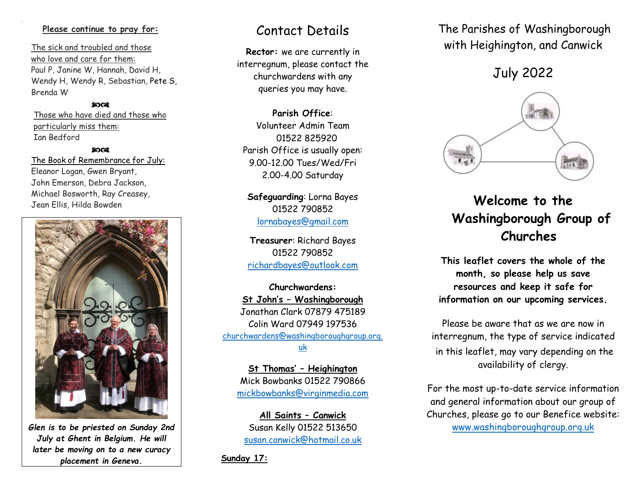#### **Please continue to pray for:**

 The sick and troubled and those who love and care for them: Paul P, Janine W, Hannah, David H, Wendy H, Wendy R, Sebastian, Pete S, Brenda W

#### ෨෬෭

 Those who have died and those who particularly miss them: Ian Bedford

#### ഹൈ

 The Book of Remembrance for July: Eleanor Logan, Gwen Bryant, John Emerson, Debra Jackson, Michael Bosworth, Ray Creasey, Jean Ellis, Hilda Bowden



*Glen is to be priested on Sunday 2nd July at Ghent in Belgium. He will later be moving on to a new curacy placement in Geneva.*

## Contact Details

**Rector:** we are currently in interregnum, please contact the churchwardens with any queries you may have.

**Parish Office**: Volunteer Admin Team 01522 825920 Parish Office is usually open: 9.00-12.00 Tues/Wed/Fri 2.00-4.00 Saturday

**Safeguarding**: Lorna Bayes 01522 790852 lornabayes@gmail.com

**Treasurer**: Richard Bayes 01522 790852 [richardbayes@outlook.com](mailto:richardbayes@outlook.com)

**Churchwardens: St John's – Washingborough** Jonathan Clark 07879 475189 Colin Ward 07949 197536 [churchwardens@washingboroughgroup.org.](mailto:churchwardens@washingboroughgroup.org.uk) [uk](mailto:churchwardens@washingboroughgroup.org.uk)

**St Thomas' – Heighington** Mick Bowbanks 01522 790866 [mickbowbanks@virginmedia.com](mailto:mickbowbanks@virginmedia.com)

**All Saints – Canwick** Susan Kelly 01522 513650 [susan.canwick@hotmail.co.uk](mailto:susan.canwick@hotmail.co.uk) 

**Sunday 17:**

The Parishes of Washingborough with Heighington, and Canwick

July 2022



# **Welcome to the Washingborough Group of Churches**

**This leaflet covers the whole of the month, so please help us save resources and keep it safe for information on our upcoming services.** 

Please be aware that as we are now in interregnum, the type of service indicated in this leaflet, may vary depending on the availability of clergy.

For the most up-to-date service information and general information about our group of Churches, please go to our Benefice website: [www.washingboroughgroup.org.uk](http://www.washingboroughgroup.org.uk/)